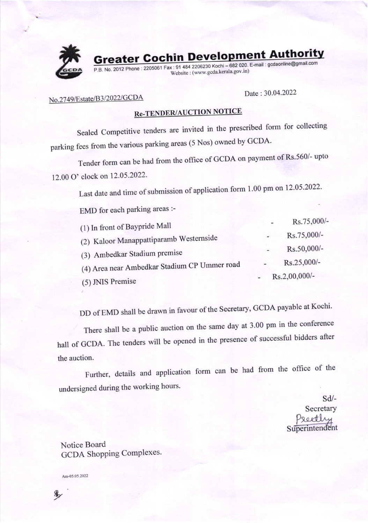

**Greater Cochin Development Authority** 

P.B. No. 2012 Phone : 2205061 Fax : 91 484 2206230 Kochi - 682 020. E-mail : gcdaonline@gmail.com website : (www. gcda-kerala gov.in)

# No.2749/Estate/B3/2022/GCDA<br>
Date: 30.04.2022

# **Re-TENDER/AUCTION NOTICE**

Sealed Competitive tenders are invited in the prescribed form for collecting parking fees from the various parking areas (5 Nos) owned by GCDA.

Tender form can be had from the office of GCDA on payment of Rs.560/- upto 12.00 O' clock on 12.05.2022.

Last date and time of submission of application form 1.00 pm on 12.05.2022.

EMD for each parking areas :-

| (1) In front of Baypride Mall                | $\overline{\phantom{0}}$ | Rs.75,000/- |
|----------------------------------------------|--------------------------|-------------|
| (2) Kaloor Manappattiparamb Westernside      |                          | Rs.75,000/- |
| (3) Ambedkar Stadium premise                 |                          | Rs.50,000/- |
| (4) Area near Ambedkar Stadium CP Ummer road |                          | Rs.25,000/- |
| (5) JNIS Premise                             | Rs.2,00,000/-            |             |

DD of EMD shall be drawn in favour of the Secretary, GCDA payable at Kochi.

There shall be a public auction on the same day at 3.00 pm in the conference hall of GCDA. The tenders will be opened in the presence of successful bidders after the auction.

Further, details and application form can be had from the office of the undersigned during the working hours.

> sd/- **Secretary**  $P_{8Q}$ otli Superintendent

Notice Board GCDA Shopping Complexes.

Am-05.05.2022

 $\mathscr{C}$